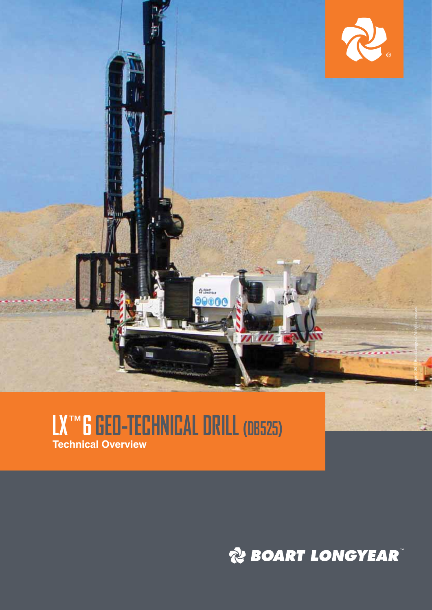

## **LX** ™**6 GEO-TECHNICAL DRILL (DB525) Technical Overview**

*RE BOART LONGYEAR*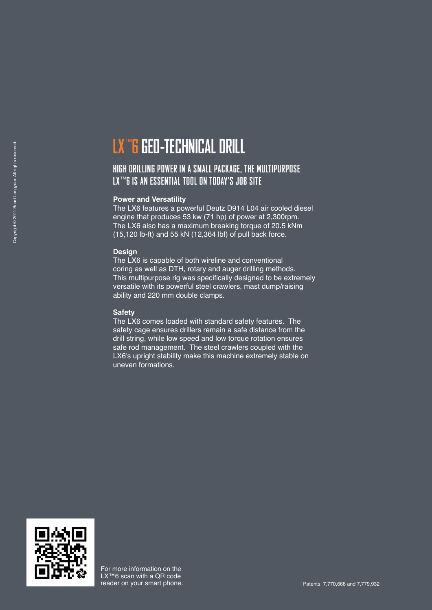## **LX**™ **6 GEO-TECHNICAL DRILL**

### **HIGH DRILLING POWER IN A SMALL PACKAGE, THE MULTIPURPOSE LX**™**6 IS AN ESSENTIAL TOOL ON TODAY'S JOB SITE**

#### **Power and Versatility**

The LX6 features a powerful Deutz D914 L04 air cooled diesel engine that produces 53 kw (71 hp) of power at 2,300rpm. The LX6 also has a maximum breaking torque of 20.5 kNm (15,120 lb-ft) and 55 kN (12,364 lbf) of pull back force.

#### **Design**

The LX6 is capable of both wireline and conventional coring as well as DTH, rotary and auger drilling methods. This multipurpose rig was specifically designed to be extremely versatile with its powerful steel crawlers, mast dump/raising ability and 220 mm double clamps.

#### **Safety**

The LX6 comes loaded with standard safety features. The safety cage ensures drillers remain a safe distance from the drill string, while low speed and low torque rotation ensures safe rod management. The steel crawlers coupled with the LX6's upright stability make this machine extremely stable on uneven formations.

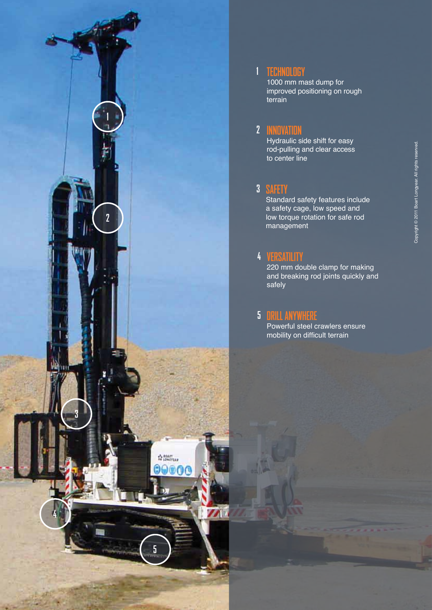

## **TECHNOLOGY**

**1**

1000 mm mast dump for improved positioning on rough terrain

## **INNOVATION 2**

Hydraulic side shift for easy rod-pulling and clear access to center line

## **SAFETY 3**

Standard safety features include a safety cage, low speed and low torque rotation for safe rod management

## **VERSATILITY 4**

220 mm double clamp for making and breaking rod joints quickly and safely

### **DRILL ANYWHERE 5**

Powerful steel crawlers ensure mobility on difficult terrain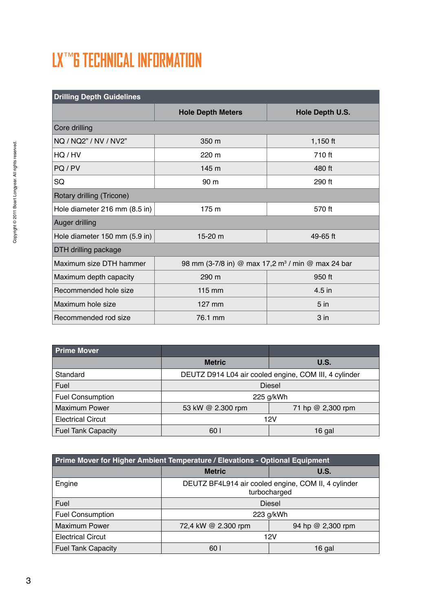# **LX**™**6 TECHNICAL INFORMATION**

| <b>Drilling Depth Guidelines</b> |                          |                                                               |  |
|----------------------------------|--------------------------|---------------------------------------------------------------|--|
|                                  | <b>Hole Depth Meters</b> | Hole Depth U.S.                                               |  |
| Core drilling                    |                          |                                                               |  |
| NQ / NQ2" / NV / NV2"            | 350 m                    | $1,150$ ft                                                    |  |
| HO/HV                            | $220 \text{ m}$          | 710 ft                                                        |  |
| PQ/PV                            | 145 m                    | 480 ft                                                        |  |
| SQ                               | 90 m                     | 290 ft                                                        |  |
| Rotary drilling (Tricone)        |                          |                                                               |  |
| Hole diameter 216 mm (8.5 in)    | 175 m                    | 570 ft                                                        |  |
| Auger drilling                   |                          |                                                               |  |
| Hole diameter 150 mm (5.9 in)    | 15-20 m                  | 49-65 ft                                                      |  |
| DTH drilling package             |                          |                                                               |  |
| Maximum size DTH hammer          |                          | 98 mm (3-7/8 in) @ max 17,2 m <sup>3</sup> / min @ max 24 bar |  |
| Maximum depth capacity           | 290 m                    | 950 ft                                                        |  |
| Recommended hole size            | 115 mm                   | 4.5 in                                                        |  |
| Maximum hole size                | 127 mm                   | 5 <sub>in</sub>                                               |  |
| Recommended rod size             | 76.1 mm                  | 3 <sub>in</sub>                                               |  |

| <b>Prime Mover</b>        |                   |                                                       |
|---------------------------|-------------------|-------------------------------------------------------|
|                           | <b>Metric</b>     | U.S.                                                  |
| Standard                  |                   | DEUTZ D914 L04 air cooled engine, COM III, 4 cylinder |
| Fuel                      | <b>Diesel</b>     |                                                       |
| <b>Fuel Consumption</b>   | 225 g/kWh         |                                                       |
| <b>Maximum Power</b>      | 53 kW @ 2.300 rpm | 71 hp @ 2,300 rpm                                     |
| <b>Electrical Circut</b>  | 12V               |                                                       |
| <b>Fuel Tank Capacity</b> | 60 l              | 16 gal                                                |

| Prime Mover for Higher Ambient Temperature / Elevations - Optional Equipment |                     |                                                                     |
|------------------------------------------------------------------------------|---------------------|---------------------------------------------------------------------|
|                                                                              | <b>Metric</b>       | U.S.                                                                |
| Engine                                                                       |                     | DEUTZ BF4L914 air cooled engine, COM II, 4 cylinder<br>turbocharged |
| Fuel                                                                         | <b>Diesel</b>       |                                                                     |
| <b>Fuel Consumption</b>                                                      | 223 g/kWh           |                                                                     |
| <b>Maximum Power</b>                                                         | 72,4 kW @ 2.300 rpm | 94 hp @ 2,300 rpm                                                   |
| <b>Electrical Circut</b>                                                     | 12V                 |                                                                     |
| <b>Fuel Tank Capacity</b>                                                    | 60 <sup>1</sup>     | 16 gal                                                              |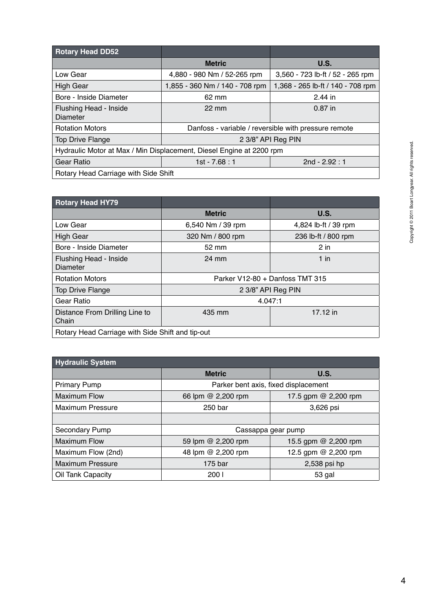| <b>Rotary Head DD52</b>                                              |                                                      |                                   |
|----------------------------------------------------------------------|------------------------------------------------------|-----------------------------------|
|                                                                      | <b>Metric</b>                                        | U.S.                              |
| Low Gear                                                             | 4,880 - 980 Nm / 52-265 rpm                          | 3,560 - 723 lb-ft / 52 - 265 rpm  |
| <b>High Gear</b>                                                     | 1,855 - 360 Nm / 140 - 708 rpm                       | 1,368 - 265 lb-ft / 140 - 708 rpm |
| Bore - Inside Diameter                                               | 62 mm                                                | $2.44$ in                         |
| Flushing Head - Inside<br>Diameter                                   | $22 \text{ mm}$                                      | $0.87$ in                         |
| <b>Rotation Motors</b>                                               | Danfoss - variable / reversible with pressure remote |                                   |
| <b>Top Drive Flange</b>                                              | 2 3/8" API Reg PIN                                   |                                   |
| Hydraulic Motor at Max / Min Displacement, Diesel Engine at 2200 rpm |                                                      |                                   |
| Gear Ratio                                                           | 1st - $7.68 : 1$                                     | 2nd - $2.92 : 1$                  |
| Rotary Head Carriage with Side Shift                                 |                                                      |                                   |

| <b>Rotary Head HY79</b>                          |                                 |                      |
|--------------------------------------------------|---------------------------------|----------------------|
|                                                  | <b>Metric</b>                   | U.S.                 |
| Low Gear                                         | 6,540 Nm / 39 rpm               | 4,824 lb-ft / 39 rpm |
| <b>High Gear</b>                                 | 320 Nm / 800 rpm                | 236 lb-ft / 800 rpm  |
| Bore - Inside Diameter                           | 52 mm                           | $2$ in               |
| Flushing Head - Inside<br>Diameter               | 24 mm                           | $1$ in               |
| <b>Rotation Motors</b>                           | Parker V12-80 + Danfoss TMT 315 |                      |
| <b>Top Drive Flange</b>                          | 2 3/8" API Reg PIN              |                      |
| Gear Ratio                                       | 4.047:1                         |                      |
| Distance From Drilling Line to<br>Chain          | 435 mm                          | 17.12 in             |
| Rotary Head Carriage with Side Shift and tip-out |                                 |                      |

| <b>Hydraulic System</b> |                    |                                      |  |
|-------------------------|--------------------|--------------------------------------|--|
|                         | <b>Metric</b>      | <b>U.S.</b>                          |  |
| <b>Primary Pump</b>     |                    | Parker bent axis, fixed displacement |  |
| <b>Maximum Flow</b>     | 66 lpm @ 2,200 rpm | 17.5 gpm @ 2,200 rpm                 |  |
| Maximum Pressure        | 250 bar            | 3,626 psi                            |  |
|                         |                    |                                      |  |
| Secondary Pump          | Cassappa gear pump |                                      |  |
| <b>Maximum Flow</b>     | 59 lpm @ 2,200 rpm | 15.5 gpm @ 2,200 rpm                 |  |
| Maximum Flow (2nd)      | 48 lpm @ 2,200 rpm | 12.5 gpm @ 2,200 rpm                 |  |
| <b>Maximum Pressure</b> | 175 bar            | 2,538 psi hp                         |  |
| Oil Tank Capacity       | 200 l              | 53 gal                               |  |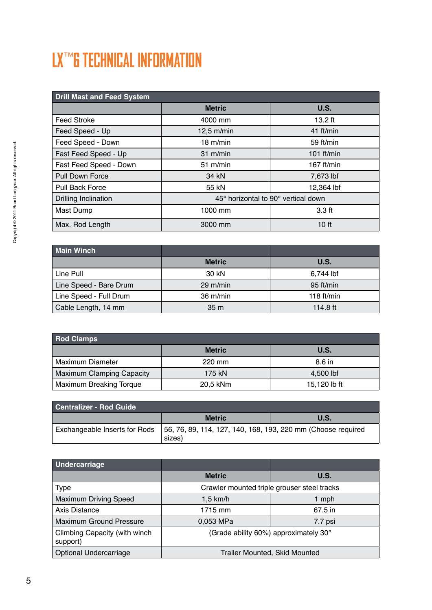# **LX**™**6 TECHNICAL INFORMATION**

| <b>Drill Mast and Feed System</b> |                                     |                  |
|-----------------------------------|-------------------------------------|------------------|
|                                   | <b>Metric</b>                       | <b>U.S.</b>      |
| <b>Feed Stroke</b>                | 4000 mm                             | $13.2$ ft        |
| Feed Speed - Up                   | $12,5$ m/min                        | 41 ft/min        |
| Feed Speed - Down                 | $18 \text{ m/min}$                  | 59 ft/min        |
| Fast Feed Speed - Up              | $31 \text{ m/min}$                  | $101$ ft/min     |
| Fast Feed Speed - Down            | $51 \text{ m/min}$                  | 167 $ft/min$     |
| Pull Down Force                   | 34 kN                               | 7,673 lbf        |
| <b>Pull Back Force</b>            | 55 kN                               | 12,364 lbf       |
| Drilling Inclination              | 45° horizontal to 90° vertical down |                  |
| Mast Dump                         | 1000 mm                             | 3.3 ft           |
| Max. Rod Length                   | 3000 mm                             | 10 <sub>ft</sub> |

| <b>Main Winch</b>      |                    |              |
|------------------------|--------------------|--------------|
|                        | <b>Metric</b>      | U.S.         |
| Line Pull              | 30 kN              | 6,744 lbf    |
| Line Speed - Bare Drum | $29 \text{ m/min}$ | 95 ft/min    |
| Line Speed - Full Drum | 36 m/min           | 118 $ft/min$ |
| Cable Length, 14 mm    | 35 <sub>m</sub>    | 114.8 ft     |

| <b>Rod Clamps</b>                |               |              |
|----------------------------------|---------------|--------------|
|                                  | <b>Metric</b> | U.S.         |
| Maximum Diameter                 | 220 mm        | 8.6 in       |
| <b>Maximum Clamping Capacity</b> | 175 kN        | 4,500 lbf    |
| Maximum Breaking Torque          | 20.5 kNm      | 15,120 lb ft |

| Centralizer - Rod Guide |                                                                                                        |             |
|-------------------------|--------------------------------------------------------------------------------------------------------|-------------|
|                         | <b>Metric</b>                                                                                          | <b>U.S.</b> |
|                         | Exchangeable Inserts for Rods   56, 76, 89, 114, 127, 140, 168, 193, 220 mm (Choose required<br>sizes) |             |

| Undercarriage                             |                               |                                             |
|-------------------------------------------|-------------------------------|---------------------------------------------|
|                                           | <b>Metric</b>                 | U.S.                                        |
| <b>Type</b>                               |                               | Crawler mounted triple grouser steel tracks |
| <b>Maximum Driving Speed</b>              | 1,5 km/h                      | 1 mph                                       |
| Axis Distance                             | 1715 mm                       | 67.5 in                                     |
| <b>Maximum Ground Pressure</b>            | 0,053 MPa                     | 7.7 psi                                     |
| Climbing Capacity (with winch<br>support) |                               | (Grade ability 60%) approximately 30°       |
| Optional Undercarriage                    | Trailer Mounted, Skid Mounted |                                             |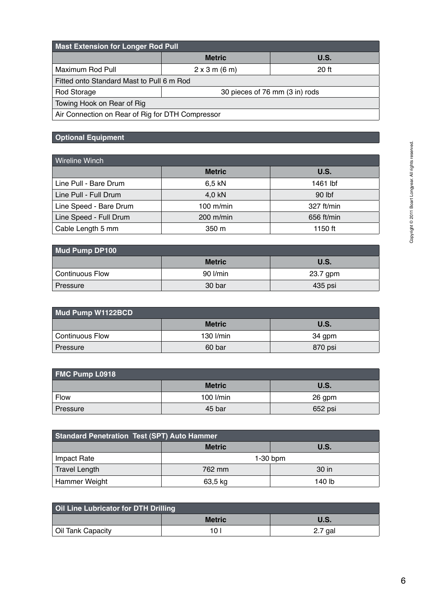| <b>Mast Extension for Longer Rod Pull</b>       |                                |       |  |
|-------------------------------------------------|--------------------------------|-------|--|
|                                                 | <b>Metric</b>                  | U.S.  |  |
| Maximum Rod Pull                                | 2 x 3 m (6 m)                  | 20 ft |  |
| Fitted onto Standard Mast to Pull 6 m Rod       |                                |       |  |
| Rod Storage                                     | 30 pieces of 76 mm (3 in) rods |       |  |
| Towing Hook on Rear of Rig                      |                                |       |  |
| Alu Osmandian an Deau of Dis fau DTH Osmanassan |                                |       |  |

Air Connection on Rear of Rig for DTH Compressor

### **Optional Equipment**

| <b>Wireline Winch</b>  |               |            |
|------------------------|---------------|------------|
|                        | <b>Metric</b> | U.S.       |
| Line Pull - Bare Drum  | 6,5 kN        | 1461 lbf   |
| Line Pull - Full Drum  | 4,0 kN        | $90$ lbf   |
| Line Speed - Bare Drum | $100$ m/min   | 327 ft/min |
| Line Speed - Full Drum | 200 m/min     | 656 ft/min |
| Cable Length 5 mm      | 350 m         | 1150 ft    |

| Mud Pump DP100    |               |             |
|-------------------|---------------|-------------|
|                   | <b>Metric</b> | <b>U.S.</b> |
| l Continuous Flow | 90 l/min      | 23.7 gpm    |
| l Pressure        | 30 bar        | 435 psi     |

| Mud Pump W1122BCD      |               |             |
|------------------------|---------------|-------------|
|                        | <b>Metric</b> | <b>U.S.</b> |
| <b>Continuous Flow</b> | $130$ I/min   | 34 gpm      |
| Pressure               | 60 bar        | 870 psi     |

| <b>FMC Pump L0918</b> |               |             |
|-----------------------|---------------|-------------|
|                       | <b>Metric</b> | <b>U.S.</b> |
| <b>Flow</b>           | $100$ I/min   | 26 gpm      |
| Pressure              | 45 bar        | 652 psi     |

| <b>Standard Penetration Test (SPT) Auto Hammer</b> |               |             |  |
|----------------------------------------------------|---------------|-------------|--|
|                                                    | <b>Metric</b> | <b>U.S.</b> |  |
| Impact Rate                                        | $1-30$ bpm    |             |  |
| <b>Travel Length</b>                               | 762 mm        | 30 in       |  |
| Hammer Weight                                      | 63,5 kg       | 140 lb      |  |

| Oil Line Lubricator for DTH Drilling |                 |             |
|--------------------------------------|-----------------|-------------|
|                                      | <b>Metric</b>   | <b>U.S.</b> |
| Oil Tank Capacity                    | 10 <sub>1</sub> | 2.7 gal     |

- 1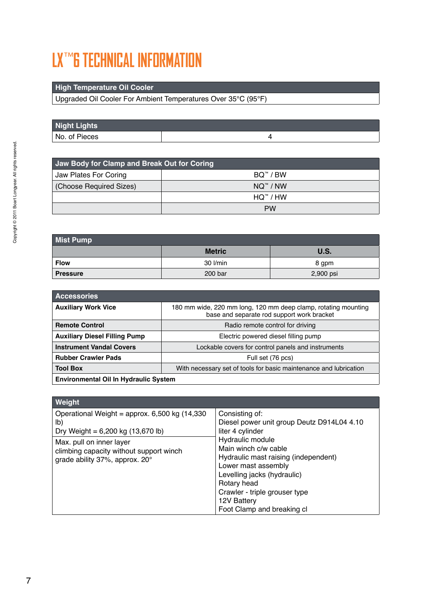## **LX**™**6 TECHNICAL INFORMATION**

### **High Temperature Oil Cooler**

Upgraded Oil Cooler For Ambient Temperatures Over 35°C (95°F)

| <b>Night Lights</b> |  |
|---------------------|--|
| No. of Pieces       |  |

| Jaw Body for Clamp and Break Out for Coring |                              |
|---------------------------------------------|------------------------------|
| Jaw Plates For Coring                       | BQ™ / BW                     |
| (Choose Required Sizes)                     | $NO^{\prime\prime\prime}/NW$ |
|                                             | $HO^{m}/HW$                  |
|                                             | <b>PW</b>                    |

| <b>Mist Pump</b> |               |             |
|------------------|---------------|-------------|
|                  | <b>Metric</b> | <b>U.S.</b> |
| <b>Flow</b>      | 30 l/min      | 8 gpm       |
| <b>Pressure</b>  | 200 bar       | 2,900 psi   |

| <b>Accessories</b>                           |                                                                                                              |  |
|----------------------------------------------|--------------------------------------------------------------------------------------------------------------|--|
| <b>Auxiliary Work Vice</b>                   | 180 mm wide, 220 mm long, 120 mm deep clamp, rotating mounting<br>base and separate rod support work bracket |  |
| <b>Remote Control</b>                        | Radio remote control for driving                                                                             |  |
| <b>Auxiliary Diesel Filling Pump</b>         | Electric powered diesel filling pump                                                                         |  |
| <b>Instrument Vandal Covers</b>              | Lockable covers for control panels and instruments                                                           |  |
| <b>Rubber Crawler Pads</b>                   | Full set (76 pcs)                                                                                            |  |
| <b>Tool Box</b>                              | With necessary set of tools for basic maintenance and lubrication                                            |  |
| <b>Environmental Oil In Hydraulic System</b> |                                                                                                              |  |

| Weight                                                                                                                                                                                                    |                                                                                                                                                                                                                                                                                           |
|-----------------------------------------------------------------------------------------------------------------------------------------------------------------------------------------------------------|-------------------------------------------------------------------------------------------------------------------------------------------------------------------------------------------------------------------------------------------------------------------------------------------|
| Operational Weight = approx. $6,500$ kg (14,330)<br>lb)<br>Dry Weight = $6,200$ kg $(13,670$ lb)<br>Max. pull on inner layer<br>climbing capacity without support winch<br>grade ability 37%, approx. 20° | Consisting of:<br>Diesel power unit group Deutz D914L04 4.10<br>liter 4 cylinder<br>Hydraulic module<br>Main winch c/w cable<br>Hydraulic mast raising (independent)<br>Lower mast assembly<br>Levelling jacks (hydraulic)<br>Rotary head<br>Crawler - triple grouser type<br>12V Battery |
|                                                                                                                                                                                                           | Foot Clamp and breaking cl                                                                                                                                                                                                                                                                |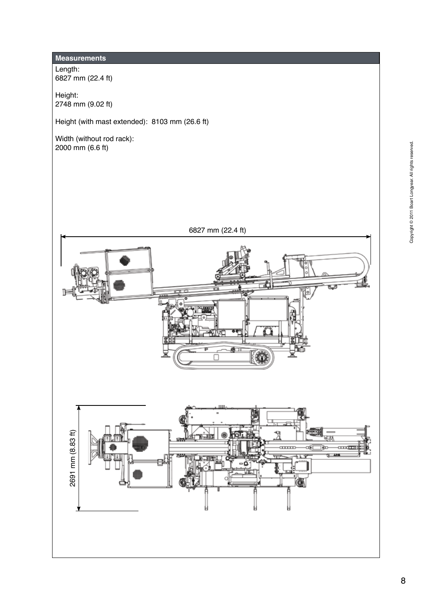## **Measurements**

Length: 6827 mm (22.4 ft)

Height: 2748 mm (9.02 ft)

Height (with mast extended): 8103 mm (26.6 ft)

Width (without rod rack): 2000 mm (6.6 ft)

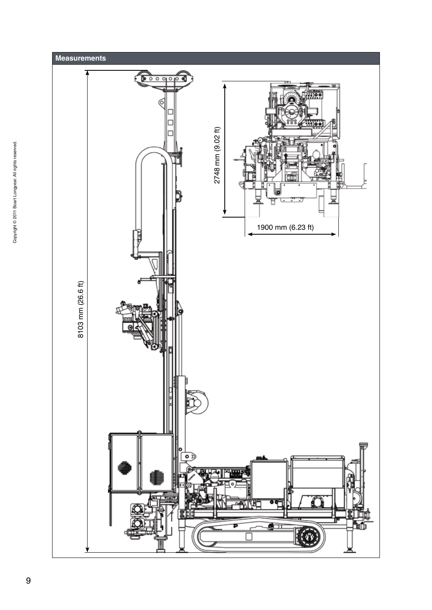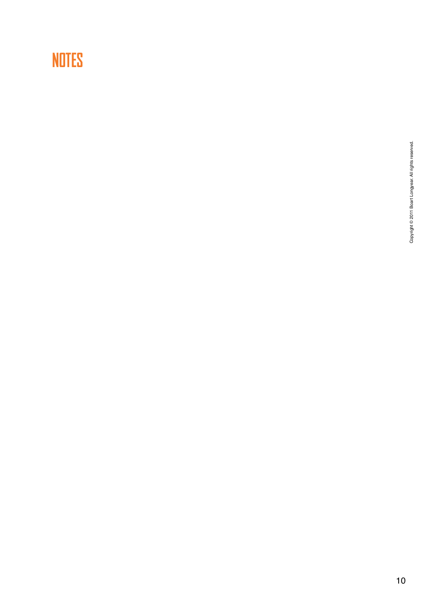## **NOTES**